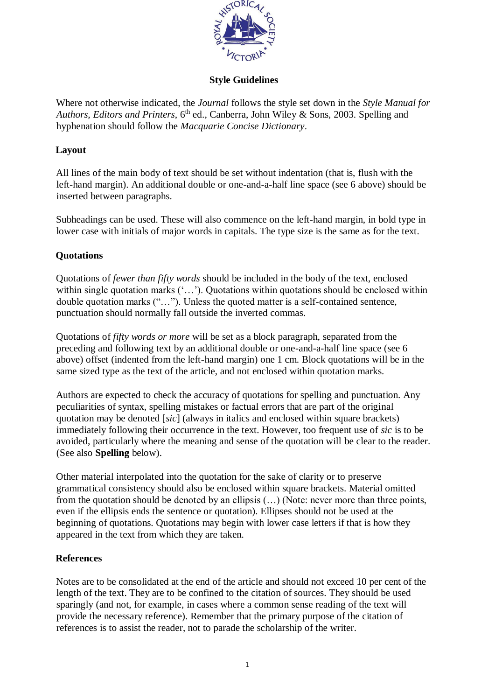

# **Style Guidelines**

Where not otherwise indicated, the *Journal* follows the style set down in the *Style Manual for*  Authors, Editors and Printers, 6<sup>th</sup> ed., Canberra, John Wiley & Sons, 2003. Spelling and hyphenation should follow the *Macquarie Concise Dictionary*.

# **Layout**

All lines of the main body of text should be set without indentation (that is, flush with the left-hand margin). An additional double or one-and-a-half line space (see 6 above) should be inserted between paragraphs.

Subheadings can be used. These will also commence on the left-hand margin, in bold type in lower case with initials of major words in capitals. The type size is the same as for the text.

# **Quotations**

Quotations of *fewer than fifty words* should be included in the body of the text, enclosed within single quotation marks ('...'). Quotations within quotations should be enclosed within double quotation marks ("…"). Unless the quoted matter is a self-contained sentence, punctuation should normally fall outside the inverted commas.

Quotations of *fifty words or more* will be set as a block paragraph, separated from the preceding and following text by an additional double or one-and-a-half line space (see 6 above) offset (indented from the left-hand margin) one 1 cm. Block quotations will be in the same sized type as the text of the article, and not enclosed within quotation marks.

Authors are expected to check the accuracy of quotations for spelling and punctuation. Any peculiarities of syntax, spelling mistakes or factual errors that are part of the original quotation may be denoted [*sic*] (always in italics and enclosed within square brackets) immediately following their occurrence in the text. However, too frequent use of *sic* is to be avoided, particularly where the meaning and sense of the quotation will be clear to the reader. (See also **Spelling** below).

Other material interpolated into the quotation for the sake of clarity or to preserve grammatical consistency should also be enclosed within square brackets. Material omitted from the quotation should be denoted by an ellipsis (…) (Note: never more than three points, even if the ellipsis ends the sentence or quotation). Ellipses should not be used at the beginning of quotations. Quotations may begin with lower case letters if that is how they appeared in the text from which they are taken.

# **References**

Notes are to be consolidated at the end of the article and should not exceed 10 per cent of the length of the text. They are to be confined to the citation of sources. They should be used sparingly (and not, for example, in cases where a common sense reading of the text will provide the necessary reference). Remember that the primary purpose of the citation of references is to assist the reader, not to parade the scholarship of the writer.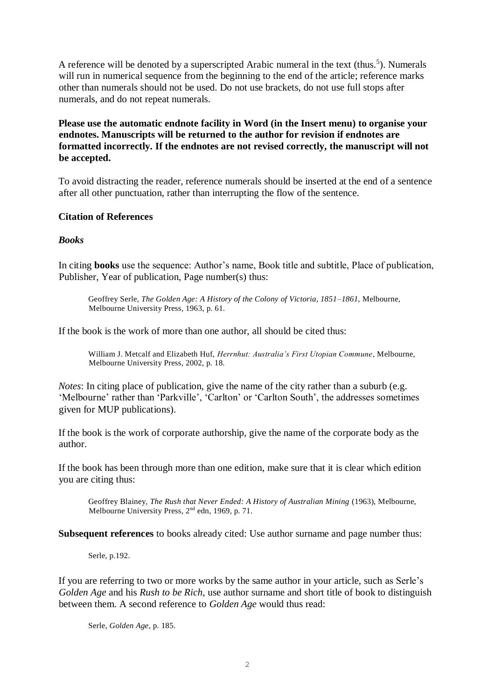A reference will be denoted by a superscripted Arabic numeral in the text (thus.<sup>5</sup>). Numerals will run in numerical sequence from the beginning to the end of the article; reference marks other than numerals should not be used. Do not use brackets, do not use full stops after numerals, and do not repeat numerals.

**Please use the automatic endnote facility in Word (in the Insert menu) to organise your endnotes. Manuscripts will be returned to the author for revision if endnotes are formatted incorrectly. If the endnotes are not revised correctly, the manuscript will not be accepted.**

To avoid distracting the reader, reference numerals should be inserted at the end of a sentence after all other punctuation, rather than interrupting the flow of the sentence.

### **Citation of References**

### *Books*

In citing **books** use the sequence: Author's name, Book title and subtitle, Place of publication, Publisher, Year of publication, Page number(s) thus:

Geoffrey Serle, *The Golden Age: A History of the Colony of Victoria, 1851–1861*, Melbourne, Melbourne University Press, 1963, p. 61.

If the book is the work of more than one author, all should be cited thus:

William J. Metcalf and Elizabeth Huf, *Herrnhut: Australia's First Utopian Commune*, Melbourne, Melbourne University Press, 2002, p. 18.

*Notes*: In citing place of publication, give the name of the city rather than a suburb (e.g. 'Melbourne' rather than 'Parkville', 'Carlton' or 'Carlton South', the addresses sometimes given for MUP publications).

If the book is the work of corporate authorship, give the name of the corporate body as the author.

If the book has been through more than one edition, make sure that it is clear which edition you are citing thus:

Geoffrey Blainey, *The Rush that Never Ended: A History of Australian Mining* (1963), Melbourne, Melbourne University Press, 2nd edn, 1969, p. 71.

**Subsequent references** to books already cited: Use author surname and page number thus:

Serle, p.192.

If you are referring to two or more works by the same author in your article, such as Serle's *Golden Age* and his *Rush to be Rich*, use author surname and short title of book to distinguish between them. A second reference to *Golden Age* would thus read:

Serle, *Golden Age*, p. 185.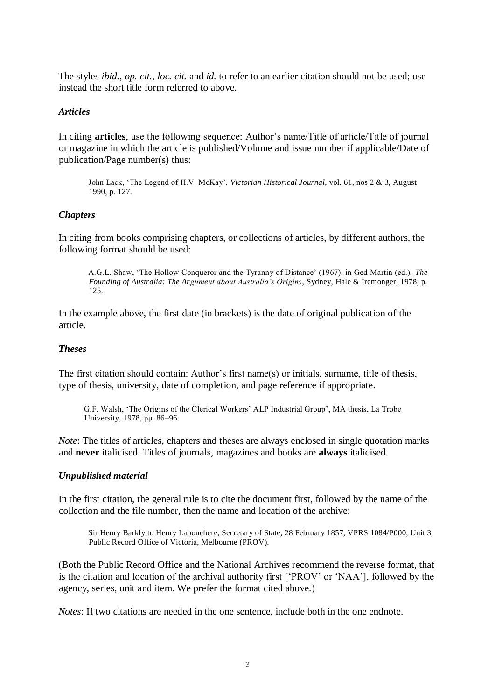The styles *ibid.*, *op. cit.*, *loc. cit.* and *id.* to refer to an earlier citation should not be used; use instead the short title form referred to above.

### *Articles*

In citing **articles**, use the following sequence: Author's name/Title of article/Title of journal or magazine in which the article is published/Volume and issue number if applicable/Date of publication/Page number(s) thus:

John Lack, 'The Legend of H.V. McKay', *Victorian Historical Journal*, vol. 61, nos 2 & 3, August 1990, p. 127.

### *Chapters*

In citing from books comprising chapters, or collections of articles, by different authors, the following format should be used:

A.G.L. Shaw, 'The Hollow Conqueror and the Tyranny of Distance' (1967), in Ged Martin (ed.), *The Founding of Australia: The Argument about Australia's Origins*, Sydney, Hale & Iremonger, 1978, p. 125.

In the example above, the first date (in brackets) is the date of original publication of the article.

### *Theses*

The first citation should contain: Author's first name(s) or initials, surname, title of thesis, type of thesis, university, date of completion, and page reference if appropriate.

G.F. Walsh, 'The Origins of the Clerical Workers' ALP Industrial Group', MA thesis, La Trobe University, 1978, pp. 86–96.

*Note*: The titles of articles, chapters and theses are always enclosed in single quotation marks and **never** italicised. Titles of journals, magazines and books are **always** italicised.

## *Unpublished material*

In the first citation, the general rule is to cite the document first, followed by the name of the collection and the file number, then the name and location of the archive:

Sir Henry Barkly to Henry Labouchere, Secretary of State, 28 February 1857, VPRS 1084/P000, Unit 3, Public Record Office of Victoria, Melbourne (PROV).

(Both the Public Record Office and the National Archives recommend the reverse format, that is the citation and location of the archival authority first ['PROV' or 'NAA'], followed by the agency, series, unit and item. We prefer the format cited above.)

*Notes*: If two citations are needed in the one sentence, include both in the one endnote.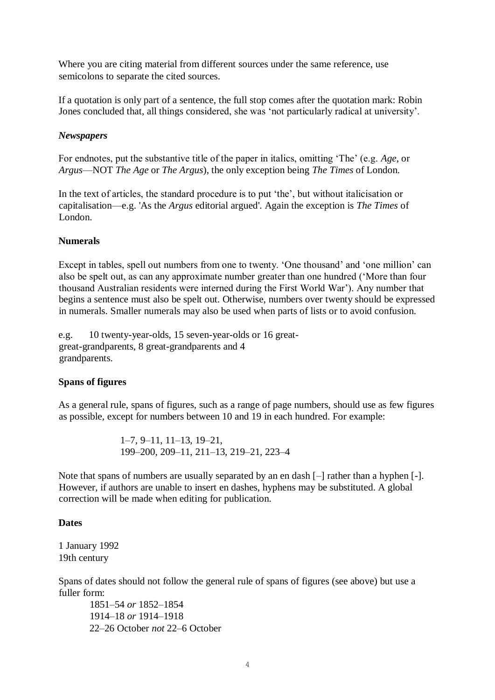Where you are citing material from different sources under the same reference, use semicolons to separate the cited sources.

If a quotation is only part of a sentence, the full stop comes after the quotation mark: Robin Jones concluded that, all things considered, she was 'not particularly radical at university'.

### *Newspapers*

For endnotes, put the substantive title of the paper in italics, omitting 'The' (e.g. *Age*, or *Argus*—NOT *The Age* or *The Argus*), the only exception being *The Times* of London.

In the text of articles, the standard procedure is to put 'the', but without italicisation or capitalisation—e.g. 'As the *Argus* editorial argued'. Again the exception is *The Times* of London.

### **Numerals**

Except in tables, spell out numbers from one to twenty. 'One thousand' and 'one million' can also be spelt out, as can any approximate number greater than one hundred ('More than four thousand Australian residents were interned during the First World War'). Any number that begins a sentence must also be spelt out. Otherwise, numbers over twenty should be expressed in numerals. Smaller numerals may also be used when parts of lists or to avoid confusion.

e.g. 10 twenty-year-olds, 15 seven-year-olds or 16 greatgreat-grandparents, 8 great-grandparents and 4 grandparents.

#### **Spans of figures**

As a general rule, spans of figures, such as a range of page numbers, should use as few figures as possible, except for numbers between 10 and 19 in each hundred. For example:

> 1–7, 9–11, 11–13, 19–21, 199–200, 209–11, 211–13, 219–21, 223–4

Note that spans of numbers are usually separated by an en dash [–] rather than a hyphen [-]. However, if authors are unable to insert en dashes, hyphens may be substituted. A global correction will be made when editing for publication.

#### **Dates**

1 January 1992 19th century

Spans of dates should not follow the general rule of spans of figures (see above) but use a fuller form:

1851–54 *or* 1852–1854 1914–18 *or* 1914–1918 22–26 October *not* 22–6 October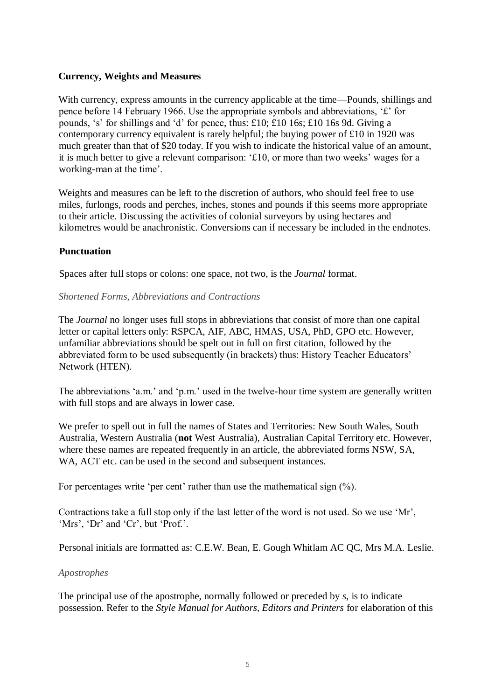## **Currency, Weights and Measures**

With currency, express amounts in the currency applicable at the time—Pounds, shillings and pence before 14 February 1966. Use the appropriate symbols and abbreviations, '£' for pounds, 's' for shillings and 'd' for pence, thus: £10; £10 16s; £10 16s 9d. Giving a contemporary currency equivalent is rarely helpful; the buying power of £10 in 1920 was much greater than that of \$20 today. If you wish to indicate the historical value of an amount, it is much better to give a relevant comparison: '£10, or more than two weeks' wages for a working-man at the time'.

Weights and measures can be left to the discretion of authors, who should feel free to use miles, furlongs, roods and perches, inches, stones and pounds if this seems more appropriate to their article. Discussing the activities of colonial surveyors by using hectares and kilometres would be anachronistic. Conversions can if necessary be included in the endnotes.

## **Punctuation**

Spaces after full stops or colons: one space, not two, is the *Journal* format.

### *Shortened Forms, Abbreviations and Contractions*

The *Journal* no longer uses full stops in abbreviations that consist of more than one capital letter or capital letters only: RSPCA, AIF, ABC, HMAS, USA, PhD, GPO etc. However, unfamiliar abbreviations should be spelt out in full on first citation, followed by the abbreviated form to be used subsequently (in brackets) thus: History Teacher Educators' Network (HTEN).

The abbreviations 'a.m.' and 'p.m.' used in the twelve-hour time system are generally written with full stops and are always in lower case.

We prefer to spell out in full the names of States and Territories: New South Wales, South Australia, Western Australia (**not** West Australia), Australian Capital Territory etc. However, where these names are repeated frequently in an article, the abbreviated forms NSW, SA, WA, ACT etc. can be used in the second and subsequent instances.

For percentages write 'per cent' rather than use the mathematical sign  $(\%).$ 

Contractions take a full stop only if the last letter of the word is not used. So we use 'Mr', 'Mrs', 'Dr' and 'Cr', but 'Prof.'.

Personal initials are formatted as: C.E.W. Bean, E. Gough Whitlam AC QC, Mrs M.A. Leslie.

## *Apostrophes*

The principal use of the apostrophe, normally followed or preceded by *s*, is to indicate possession. Refer to the *Style Manual for Authors, Editors and Printers* for elaboration of this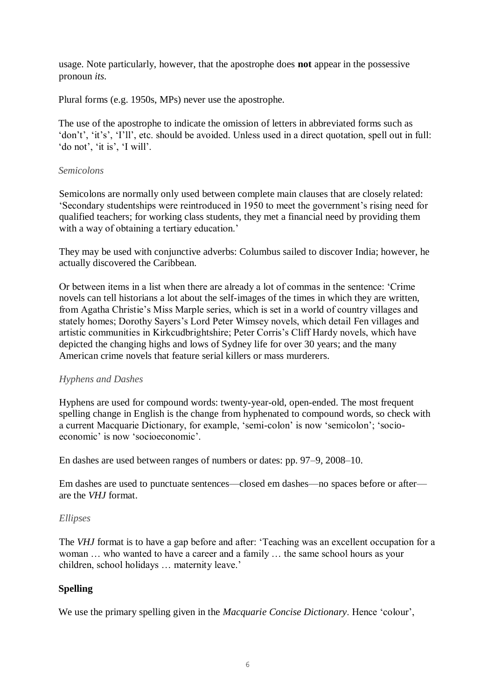usage. Note particularly, however, that the apostrophe does **not** appear in the possessive pronoun *its*.

Plural forms (e.g. 1950s, MPs) never use the apostrophe.

The use of the apostrophe to indicate the omission of letters in abbreviated forms such as 'don't', 'it's', 'I'll', etc. should be avoided. Unless used in a direct quotation, spell out in full: 'do not', 'it is', 'I will'.

## *Semicolons*

Semicolons are normally only used between complete main clauses that are closely related: 'Secondary studentships were reintroduced in 1950 to meet the government's rising need for qualified teachers; for working class students, they met a financial need by providing them with a way of obtaining a tertiary education.'

They may be used with conjunctive adverbs: Columbus sailed to discover India; however, he actually discovered the Caribbean.

Or between items in a list when there are already a lot of commas in the sentence: 'Crime novels can tell historians a lot about the self-images of the times in which they are written, from Agatha Christie's Miss Marple series, which is set in a world of country villages and stately homes; Dorothy Sayers's Lord Peter Wimsey novels, which detail Fen villages and artistic communities in Kirkcudbrightshire; Peter Corris's Cliff Hardy novels, which have depicted the changing highs and lows of Sydney life for over 30 years; and the many American crime novels that feature serial killers or mass murderers.

# *Hyphens and Dashes*

Hyphens are used for compound words: twenty-year-old, open-ended. The most frequent spelling change in English is the change from hyphenated to compound words, so check with a current Macquarie Dictionary, for example, 'semi-colon' is now 'semicolon'; 'socioeconomic' is now 'socioeconomic'.

En dashes are used between ranges of numbers or dates: pp. 97–9, 2008–10.

Em dashes are used to punctuate sentences—closed em dashes—no spaces before or after are the *VHJ* format.

## *Ellipses*

The *VHJ* format is to have a gap before and after: 'Teaching was an excellent occupation for a woman … who wanted to have a career and a family … the same school hours as your children, school holidays … maternity leave.'

# **Spelling**

We use the primary spelling given in the *Macquarie Concise Dictionary*. Hence 'colour',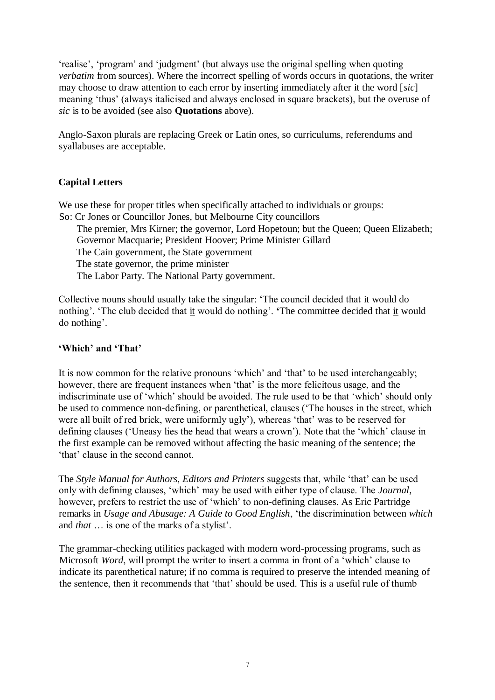'realise', 'program' and 'judgment' (but always use the original spelling when quoting *verbatim* from sources). Where the incorrect spelling of words occurs in quotations, the writer may choose to draw attention to each error by inserting immediately after it the word [*sic*] meaning 'thus' (always italicised and always enclosed in square brackets), but the overuse of *sic* is to be avoided (see also **Quotations** above).

Anglo-Saxon plurals are replacing Greek or Latin ones, so curriculums, referendums and syallabuses are acceptable.

# **Capital Letters**

We use these for proper titles when specifically attached to individuals or groups: So: Cr Jones or Councillor Jones, but Melbourne City councillors

The premier, Mrs Kirner; the governor, Lord Hopetoun; but the Queen; Queen Elizabeth; Governor Macquarie; President Hoover; Prime Minister Gillard The Cain government, the State government The state governor, the prime minister The Labor Party. The National Party government.

Collective nouns should usually take the singular: 'The council decided that it would do nothing'. 'The club decided that it would do nothing'. **'**The committee decided that it would do nothing'.

## **'Which' and 'That'**

It is now common for the relative pronouns 'which' and 'that' to be used interchangeably; however, there are frequent instances when 'that' is the more felicitous usage, and the indiscriminate use of 'which' should be avoided. The rule used to be that 'which' should only be used to commence non-defining, or parenthetical, clauses ('The houses in the street, which were all built of red brick, were uniformly ugly'), whereas 'that' was to be reserved for defining clauses ('Uneasy lies the head that wears a crown'). Note that the 'which' clause in the first example can be removed without affecting the basic meaning of the sentence; the 'that' clause in the second cannot.

The *Style Manual for Authors, Editors and Printers* suggests that, while 'that' can be used only with defining clauses, 'which' may be used with either type of clause. The *Journal*, however, prefers to restrict the use of 'which' to non-defining clauses. As Eric Partridge remarks in *Usage and Abusage: A Guide to Good English*, 'the discrimination between *which*  and *that* … is one of the marks of a stylist'.

The grammar-checking utilities packaged with modern word-processing programs, such as Microsoft *Word*, will prompt the writer to insert a comma in front of a 'which' clause to indicate its parenthetical nature; if no comma is required to preserve the intended meaning of the sentence, then it recommends that 'that' should be used. This is a useful rule of thumb